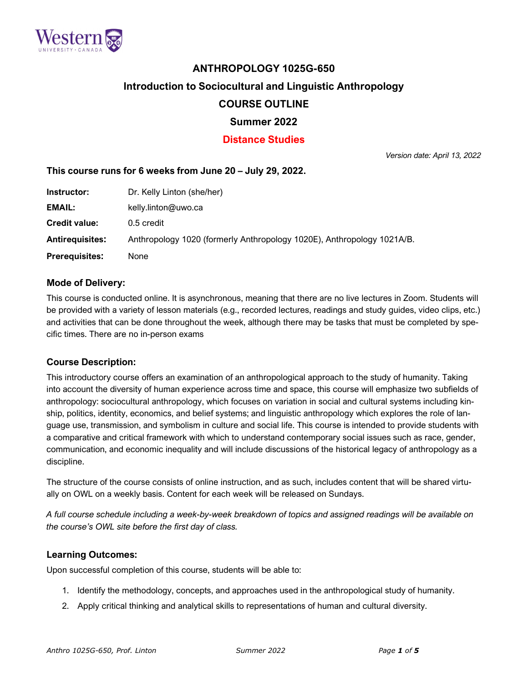

# **ANTHROPOLOGY 1025G-650**

## **Introduction to Sociocultural and Linguistic Anthropology**

# **COURSE OUTLINE**

# **Summer 2022**

# **Distance Studies**

*Version date: April 13, 2022*

## **This course runs for 6 weeks from June 20 – July 29, 2022.**

| Instructor:            | Dr. Kelly Linton (she/her)                                             |
|------------------------|------------------------------------------------------------------------|
| EMAIL:                 | kelly.linton@uwo.ca                                                    |
| <b>Credit value:</b>   | 0.5 credit                                                             |
| <b>Antirequisites:</b> | Anthropology 1020 (formerly Anthropology 1020E), Anthropology 1021A/B. |
| <b>Prerequisites:</b>  | None                                                                   |

#### **Mode of Delivery:**

This course is conducted online. It is asynchronous, meaning that there are no live lectures in Zoom. Students will be provided with a variety of lesson materials (e.g., recorded lectures, readings and study guides, video clips, etc.) and activities that can be done throughout the week, although there may be tasks that must be completed by specific times. There are no in-person exams

## **Course Description:**

This introductory course offers an examination of an anthropological approach to the study of humanity. Taking into account the diversity of human experience across time and space, this course will emphasize two subfields of anthropology: sociocultural anthropology, which focuses on variation in social and cultural systems including kinship, politics, identity, economics, and belief systems; and linguistic anthropology which explores the role of language use, transmission, and symbolism in culture and social life. This course is intended to provide students with a comparative and critical framework with which to understand contemporary social issues such as race, gender, communication, and economic inequality and will include discussions of the historical legacy of anthropology as a discipline.

The structure of the course consists of online instruction, and as such, includes content that will be shared virtually on OWL on a weekly basis. Content for each week will be released on Sundays.

A full course schedule including a week-by-week breakdown of topics and assigned readings will be available on *the course's OWL site before the first day of class.*

#### **Learning Outcomes:**

Upon successful completion of this course, students will be able to:

- 1. Identify the methodology, concepts, and approaches used in the anthropological study of humanity.
- 2. Apply critical thinking and analytical skills to representations of human and cultural diversity.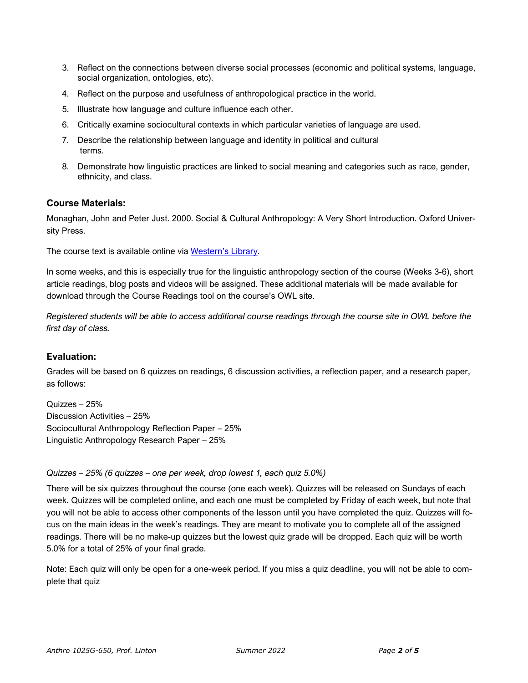- 3. Reflect on the connections between diverse social processes (economic and political systems, language, social organization, ontologies, etc).
- 4. Reflect on the purpose and usefulness of anthropological practice in the world.
- 5. Illustrate how language and culture influence each other.
- 6. Critically examine sociocultural contexts in which particular varieties of language are used.
- 7. Describe the relationship between language and identity in political and cultural terms.
- 8. Demonstrate how linguistic practices are linked to social meaning and categories such as race, gender, ethnicity, and class.

#### **Course Materials:**

Monaghan, John and Peter Just. 2000. Social & Cultural Anthropology: A Very Short Introduction. Oxford University Press.

The course text is available online via [Western's](https://ocul-uwo.primo.exlibrisgroup.com/discovery/fulldisplay?context=L&vid=01OCUL_UWO:UWO_DEFAULT&search_scope=MyInst_and_CI&tab=Everything&docid=alma991000882969705163) Library.

In some weeks, and this is especially true for the linguistic anthropology section of the course (Weeks 3-6), short article readings, blog posts and videos will be assigned. These additional materials will be made available for download through the Course Readings tool on the course's OWL site.

Registered students will be able to access additional course readings through the course site in OWL before the *first day of class.*

## **Evaluation:**

Grades will be based on 6 quizzes on readings, 6 discussion activities, a reflection paper, and a research paper, as follows:

Quizzes – 25% Discussion Activities – 25% Sociocultural Anthropology Reflection Paper – 25% Linguistic Anthropology Research Paper – 25%

#### *Quizzes – 25% (6 quizzes – one per week, drop lowest 1, each quiz 5.0%)*

There will be six quizzes throughout the course (one each week). Quizzes will be released on Sundays of each week. Quizzes will be completed online, and each one must be completed by Friday of each week, but note that you will not be able to access other components of the lesson until you have completed the quiz. Quizzes will focus on the main ideas in the week's readings. They are meant to motivate you to complete all of the assigned readings. There will be no make-up quizzes but the lowest quiz grade will be dropped. Each quiz will be worth 5.0% for a total of 25% of your final grade.

Note: Each quiz will only be open for a one-week period. If you miss a quiz deadline, you will not be able to complete that quiz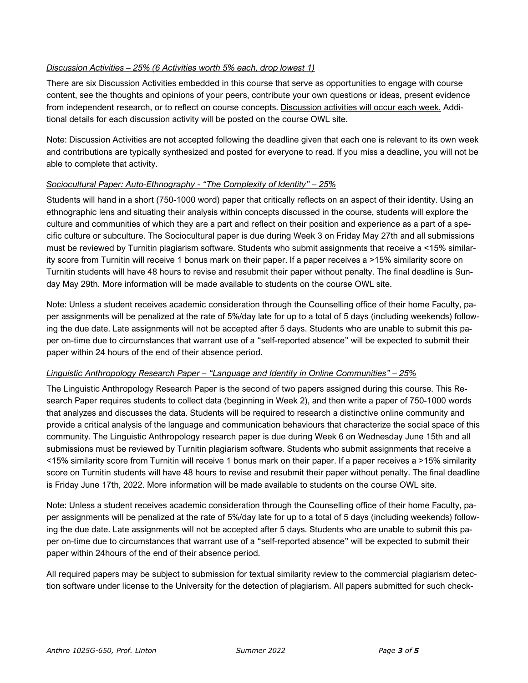#### *Discussion Activities – 25% (6 Activities worth 5% each, drop lowest 1)*

There are six Discussion Activities embedded in this course that serve as opportunities to engage with course content, see the thoughts and opinions of your peers, contribute your own questions or ideas, present evidence from independent research, or to reflect on course concepts. Discussion activities will occur each week. Additional details for each discussion activity will be posted on the course OWL site.

Note: Discussion Activities are not accepted following the deadline given that each one is relevant to its own week and contributions are typically synthesized and posted for everyone to read. If you miss a deadline, you will not be able to complete that activity.

#### *Sociocultural Paper: Auto-Ethnography - "The Complexity of Identity" – 25%*

Students will hand in a short (750-1000 word) paper that critically reflects on an aspect of their identity. Using an ethnographic lens and situating their analysis within concepts discussed in the course, students will explore the culture and communities of which they are a part and reflect on their position and experience as a part of a specific culture or subculture. The Sociocultural paper is due during Week 3 on Friday May 27th and all submissions must be reviewed by Turnitin plagiarism software. Students who submit assignments that receive a <15% similarity score from Turnitin will receive 1 bonus mark on their paper. If a paper receives a >15% similarity score on Turnitin students will have 48 hours to revise and resubmit their paper without penalty. The final deadline is Sunday May 29th. More information will be made available to students on the course OWL site.

Note: Unless a student receives academic consideration through the Counselling office of their home Faculty, paper assignments will be penalized at the rate of 5%/day late for up to a total of 5 days (including weekends) following the due date. Late assignments will not be accepted after 5 days. Students who are unable to submit this paper on-time due to circumstances that warrant use of a "self-reported absence" will be expected to submit their paper within 24 hours of the end of their absence period.

#### *Linguistic Anthropology Research Paper – "Language and Identity in Online Communities" – 25%*

The Linguistic Anthropology Research Paper is the second of two papers assigned during this course. This Research Paper requires students to collect data (beginning in Week 2), and then write a paper of 750-1000 words that analyzes and discusses the data. Students will be required to research a distinctive online community and provide a critical analysis of the language and communication behaviours that characterize the social space of this community. The Linguistic Anthropology research paper is due during Week 6 on Wednesday June 15th and all submissions must be reviewed by Turnitin plagiarism software. Students who submit assignments that receive a <15% similarity score from Turnitin will receive 1 bonus mark on their paper. If a paper receives a >15% similarity score on Turnitin students will have 48 hours to revise and resubmit their paper without penalty. The final deadline is Friday June 17th, 2022. More information will be made available to students on the course OWL site.

Note: Unless a student receives academic consideration through the Counselling office of their home Faculty, paper assignments will be penalized at the rate of 5%/day late for up to a total of 5 days (including weekends) following the due date. Late assignments will not be accepted after 5 days. Students who are unable to submit this paper on-time due to circumstances that warrant use of a "self-reported absence" will be expected to submit their paper within 24hours of the end of their absence period.

All required papers may be subject to submission for textual similarity review to the commercial plagiarism detection software under license to the University for the detection of plagiarism. All papers submitted for such check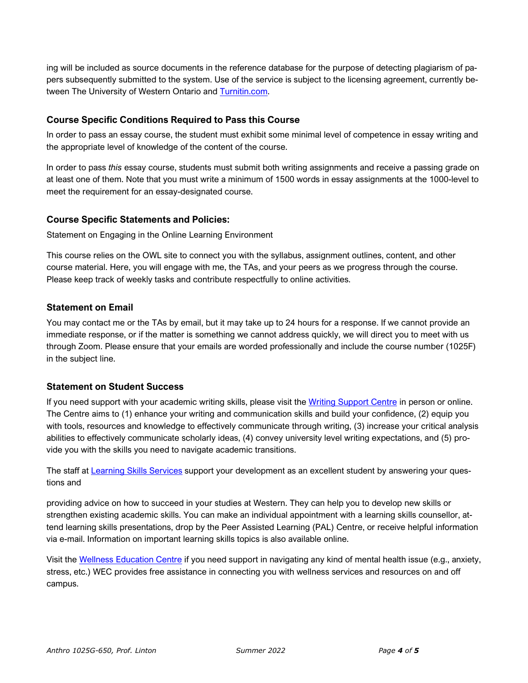ing will be included as source documents in the reference database for the purpose of detecting plagiarism of papers subsequently submitted to the system. Use of the service is subject to the licensing agreement, currently between The University of Western Ontario and [Turnitin.com.](http://www.turnitin.com/)

# **Course Specific Conditions Required to Pass this Course**

In order to pass an essay course, the student must exhibit some minimal level of competence in essay writing and the appropriate level of knowledge of the content of the course.

In order to pass *this* essay course, students must submit both writing assignments and receive a passing grade on at least one of them. Note that you must write a minimum of 1500 words in essay assignments at the 1000-level to meet the requirement for an essay-designated course.

## **Course Specific Statements and Policies:**

Statement on Engaging in the Online Learning Environment

This course relies on the OWL site to connect you with the syllabus, assignment outlines, content, and other course material. Here, you will engage with me, the TAs, and your peers as we progress through the course. Please keep track of weekly tasks and contribute respectfully to online activities.

## **Statement on Email**

You may contact me or the TAs by email, but it may take up to 24 hours for a response. If we cannot provide an immediate response, or if the matter is something we cannot address quickly, we will direct you to meet with us through Zoom. Please ensure that your emails are worded professionally and include the course number (1025F) in the subject line.

## **Statement on Student Success**

If you need support with your academic writing skills, please visit the Writing [Support](http://www.sdc.uwo.ca/writing/) Centre in person or online. The Centre aims to (1) enhance your writing and communication skills and build your confidence, (2) equip you with tools, resources and knowledge to effectively communicate through writing, (3) increase your critical analysis abilities to effectively communicate scholarly ideas, (4) convey university level writing expectations, and (5) provide you with the skills you need to navigate academic transitions.

The staff at [Learning](http://www.sdc.uwo.ca/learning/) Skills Services support your development as an excellent student by answering your questions and

providing advice on how to succeed in your studies at Western. They can help you to develop new skills or strengthen existing academic skills. You can make an individual appointment with a learning skills counsellor, attend learning skills presentations, drop by the Peer Assisted Learning (PAL) Centre, or receive helpful information via e-mail. Information on important learning skills topics is also available online.

Visit the Wellness [Education](http://wec.uwo.ca/) Centre if you need support in navigating any kind of mental health issue (e.g., anxiety, stress, etc.) WEC provides free assistance in connecting you with wellness services and resources on and off campus.